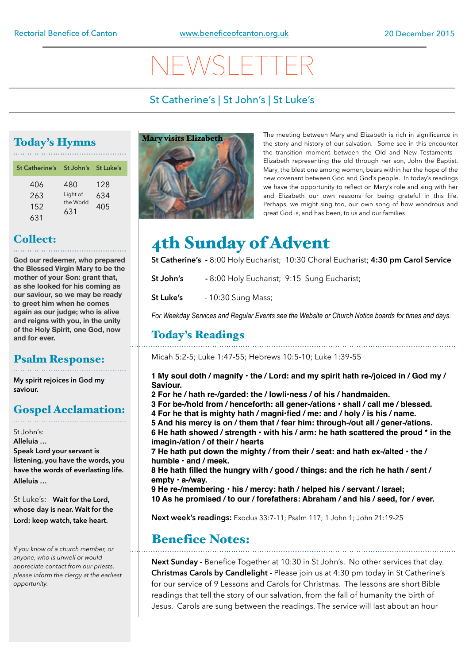# $\setminus$   $\vdash$   $\setminus$   $\land$   $\prime$

## St Catherine's | St John's | St Luke's

## Today's Hymns

| St Catherine's St John's St Luke's |                                     |                   |
|------------------------------------|-------------------------------------|-------------------|
| 406<br>263<br>152<br>631           | 480<br>Light of<br>the World<br>631 | 128<br>634<br>405 |

## Collect:

**God our redeemer, who prepared the Blessed Virgin Mary to be the mother of your Son: grant that, as she looked for his coming as our saviour, so we may be ready to greet him when he comes again as our judge; who is alive and reigns with you, in the unity of the Holy Spirit, one God, now and for ever.**

### Psalm Response:

**My spirit rejoices in God my saviour.**

## Gospel Acclamation:

St John's: **Alleluia … Speak Lord your servant is listening, you have the words, you have the words of everlasting life.** 

**Alleluia …** 

St Luke's: **Wait for the Lord, whose day is near. Wait for the Lord: keep watch, take heart.** 

*If you know of a church member, or anyone, who is unwell or would appreciate contact from our priests, please inform the clergy at the earliest opportunity.* 



The meeting between Mary and Elizabeth is rich in significance in the story and history of our salvation. Some see in this encounter the transition moment between the Old and New Testaments - Elizabeth representing the old through her son, John the Baptist. Mary, the blest one among women, bears within her the hope of the new covenant between God and God's people. In today's readings we have the opportunity to reflect on Mary's role and sing with her and Elizabeth our own reasons for being grateful in this life. Perhaps, we might sing too, our own song of how wondrous and great God is, and has been, to us and our families

## 4th Sunday of Advent

**St Catherine's -** 8:00 Holy Eucharist; 10:30 Choral Eucharist; **4:30 pm Carol Service**

**St John's -** 8:00 Holy Eucharist; 9:15 Sung Eucharist;

**St Luke's** - 10:30 Sung Mass;

*For Weekday Services and Regular Events see the Website or Church Notice boards for times and days.*

## Today's Readings

Micah 5:2-5; Luke 1:47-55; Hebrews 10:5-10; Luke 1:39-55

**1 My soul doth / magnify • the / Lord: and my spirit hath re-/joiced in / God my / Saviour.** 

- **2 For he / hath re-/garded: the / lowli•ness / of his / handmaiden.**
- **3 For be-/hold from / henceforth: all gener-/ations shall / call me / blessed.**
- **4 For he that is mighty hath / magni•fied / me: and / holy / is his / name.**

**5 And his mercy is on / them that / fear him: through-/out all / gener-/ations. 6 He hath showed / strength • with his / arm: he hath scattered the proud \* in the imagin-/ation / of their / hearts**

**7 He hath put down the mighty / from their / seat: and hath ex-/alted • the / humble • and / meek.** 

**8 He hath filled the hungry with / good / things: and the rich he hath / sent / empty • a-/way.**

**9 He re-/membering • his / mercy: hath / helped his / servant / Israel; 10 As he promised / to our / forefathers: Abraham / and his / seed, for / ever.**

**Next week's readings:** Exodus 33:7-11; Psalm 117; 1 John 1; John 21:19-25

## Benefice Notes:

**Next Sunday -** Benefice Together at 10:30 in St John's. No other services that day. **Christmas Carols by Candlelight -** Please join us at 4:30 pm today in St Catherine's for our service of 9 Lessons and Carols for Christmas. The lessons are short Bible readings that tell the story of our salvation, from the fall of humanity the birth of Jesus. Carols are sung between the readings. The service will last about an hour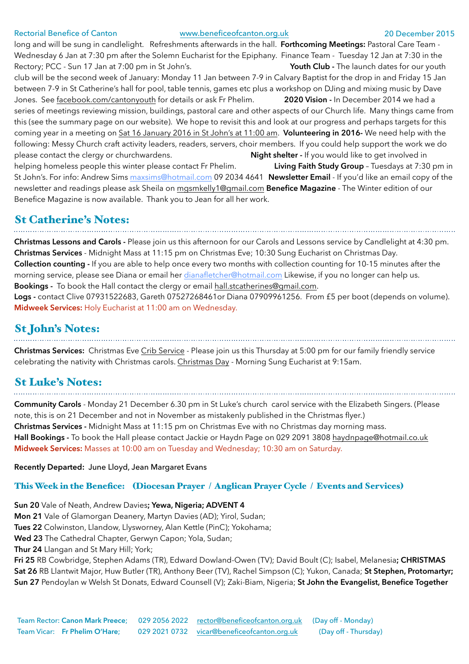### Rectorial Benefice of Canton [www.beneficeofcanton.org.uk](http://www.beneficeofcanton.org.uk) 20 December 2015

long and will be sung in candlelight. Refreshments afterwards in the hall. **Forthcoming Meetings:** Pastoral Care Team - Wednesday 6 Jan at 7:30 pm after the Solemn Eucharist for the Epiphany. Finance Team - Tuesday 12 Jan at 7:30 in the Rectory; PCC - Sun 17 Jan at 7:00 pm in St John's. **Youth Club -** The launch dates for our youth club will be the second week of January: Monday 11 Jan between 7-9 in Calvary Baptist for the drop in and Friday 15 Jan between 7-9 in St Catherine's hall for pool, table tennis, games etc plus a workshop on DJing and mixing music by Dave Jones. See [facebook.com/cantonyouth](http://facebook.com/cantonyouth) for details or ask Fr Phelim. **2020 Vision -** In December 2014 we had a series of meetings reviewing mission, buildings, pastoral care and other aspects of our Church life. Many things came from this (see the summary page on our website). We hope to revisit this and look at our progress and perhaps targets for this coming year in a meeting on Sat 16 January 2016 in St John's at 11:00 am. **Volunteering in 2016-** We need help with the following: Messy Church craft activity leaders, readers, servers, choir members. If you could help support the work we do please contact the clergy or churchwardens. **Night shelter -** If you would like to get involved in helping homeless people this winter please contact Fr Phelim. **Living Faith Study Group** – Tuesdays at 7:30 pm in St John's. For info: Andrew Sims [maxsims@hotmail.com](mailto:maxsims@hotmail.com) 09 2034 4641 **Newsletter Email** - If you'd like an email copy of the newsletter and readings please ask Sheila on [mgsmkelly1@gmail.com](mailto:mgsmkelly1@gmail.com) **Benefice Magazine** - The Winter edition of our Benefice Magazine is now available. Thank you to Jean for all her work.

## St Catherine's Notes:

**Christmas Lessons and Carols -** Please join us this afternoon for our Carols and Lessons service by Candlelight at 4:30 pm. **Christmas Services** - Midnight Mass at 11:15 pm on Christmas Eve; 10:30 Sung Eucharist on Christmas Day. **Collection counting -** If you are able to help once every two months with collection counting for 10-15 minutes after the morning service, please see Diana or email her [dianafletcher@hotmail.com](mailto:dianafletcher@hotmail.com?subject=) Likewise, if you no longer can help us. **Bookings -** To book the Hall contact the clergy or email [hall.stcatherines@gmail.com.](mailto:hall.stcatherines@gmail.com)

**Logs -** contact Clive 07931522683, Gareth 07527268461or Diana 07909961256. From £5 per boot (depends on volume). **Midweek Services:** Holy Eucharist at 11:00 am on Wednesday.

## St John's Notes:

**Christmas Services:** Christmas Eve Crib Service - Please join us this Thursday at 5:00 pm for our family friendly service celebrating the nativity with Christmas carols. Christmas Day - Morning Sung Eucharist at 9:15am.

## St Luke's Notes:

**Community Carols** - Monday 21 December 6.30 pm in St Luke's church carol service with the Elizabeth Singers. (Please note, this is on 21 December and not in November as mistakenly published in the Christmas flyer.) **Christmas Services -** Midnight Mass at 11:15 pm on Christmas Eve with no Christmas day morning mass. **Hall Bookings -** To book the Hall please contact Jackie or Haydn Page on 029 2091 3808 [haydnpage@hotmail.co.uk](mailto:haydnpage@hotmail.co.uk) **Midweek Services:** Masses at 10:00 am on Tuesday and Wednesday; 10:30 am on Saturday.

**Recently Departed:** June Lloyd, Jean Margaret Evans

### This Week in the Benefice: (Diocesan Prayer / Anglican Prayer Cycle / Events and Services)

**Sun 20** Vale of Neath, Andrew Davies**; Yewa, Nigeria; ADVENT 4** 

**Mon 21** Vale of Glamorgan Deanery, Martyn Davies (AD); Yirol, Sudan;

**Tues 22** Colwinston, Llandow, Llysworney, Alan Kettle (PinC); Yokohama;

**Wed 23** The Cathedral Chapter, Gerwyn Capon; Yola, Sudan;

**Thur 24** Llangan and St Mary Hill; York;

**Fri 25** RB Cowbridge, Stephen Adams (TR), Edward Dowland-Owen (TV); David Boult (C); Isabel, Melanesia**; CHRISTMAS Sat 26** RB Llantwit Major, Huw Butler (TR), Anthony Beer (TV), Rachel Simpson (C); Yukon, Canada; **St Stephen, Protomartyr; Sun 27** Pendoylan w Welsh St Donats, Edward Counsell (V); Zaki-Biam, Nigeria; **St John the Evangelist, Benefice Together**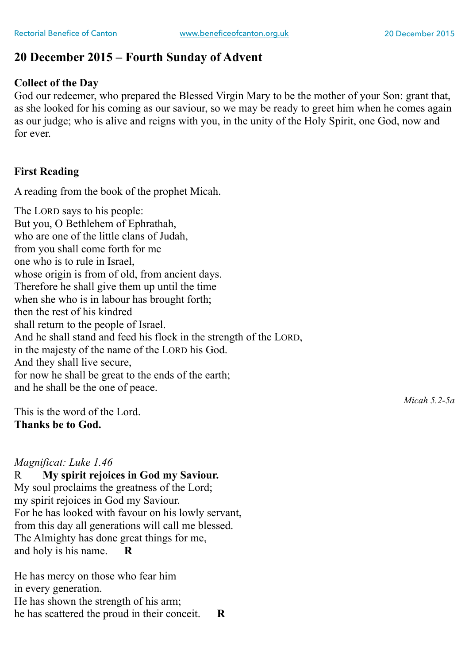## **20 December 2015 – Fourth Sunday of Advent**

## **Collect of the Day**

God our redeemer, who prepared the Blessed Virgin Mary to be the mother of your Son: grant that, as she looked for his coming as our saviour, so we may be ready to greet him when he comes again as our judge; who is alive and reigns with you, in the unity of the Holy Spirit, one God, now and for ever.

## **First Reading**

A reading from the book of the prophet Micah.

The LORD says to his people: But you, O Bethlehem of Ephrathah, who are one of the little clans of Judah, from you shall come forth for me one who is to rule in Israel, whose origin is from of old, from ancient days. Therefore he shall give them up until the time when she who is in labour has brought forth; then the rest of his kindred shall return to the people of Israel. And he shall stand and feed his flock in the strength of the LORD, in the majesty of the name of the LORD his God. And they shall live secure, for now he shall be great to the ends of the earth; and he shall be the one of peace.

This is the word of the Lord. **Thanks be to God.** 

## *Magnificat: Luke 1.46*

R **My spirit rejoices in God my Saviour.**  My soul proclaims the greatness of the Lord; my spirit rejoices in God my Saviour. For he has looked with favour on his lowly servant, from this day all generations will call me blessed. The Almighty has done great things for me, and holy is his name. **R** 

He has mercy on those who fear him in every generation. He has shown the strength of his arm; he has scattered the proud in their conceit. **R**  *Micah 5.2-5a*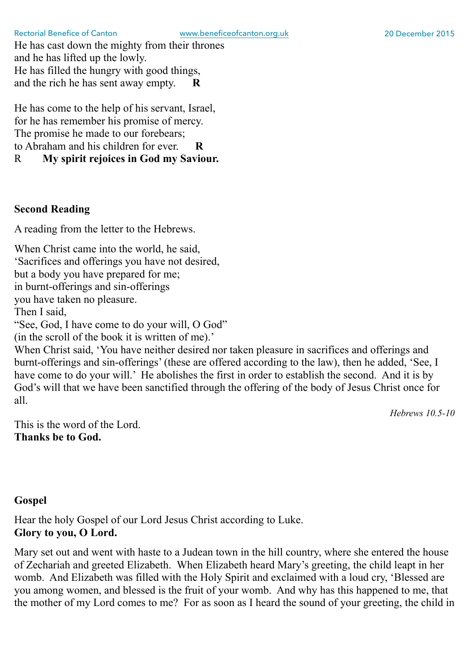He has cast down the mighty from their thrones and he has lifted up the lowly. He has filled the hungry with good things, and the rich he has sent away empty. **R** 

He has come to the help of his servant, Israel, for he has remember his promise of mercy. The promise he made to our forebears; to Abraham and his children for ever. **R** R **My spirit rejoices in God my Saviour.** 

## **Second Reading**

A reading from the letter to the Hebrews.

When Christ came into the world, he said, 'Sacrifices and offerings you have not desired, but a body you have prepared for me; in burnt-offerings and sin-offerings you have taken no pleasure. Then I said, "See, God, I have come to do your will, O God" (in the scroll of the book it is written of me).'

When Christ said, 'You have neither desired nor taken pleasure in sacrifices and offerings and burnt-offerings and sin-offerings' (these are offered according to the law), then he added, 'See, I have come to do your will.' He abolishes the first in order to establish the second. And it is by God's will that we have been sanctified through the offering of the body of Jesus Christ once for all.

*Hebrews 10.5-10* 

This is the word of the Lord. **Thanks be to God.** 

## **Gospel**

Hear the holy Gospel of our Lord Jesus Christ according to Luke. **Glory to you, O Lord.** 

Mary set out and went with haste to a Judean town in the hill country, where she entered the house of Zechariah and greeted Elizabeth. When Elizabeth heard Mary's greeting, the child leapt in her womb. And Elizabeth was filled with the Holy Spirit and exclaimed with a loud cry, 'Blessed are you among women, and blessed is the fruit of your womb. And why has this happened to me, that the mother of my Lord comes to me? For as soon as I heard the sound of your greeting, the child in